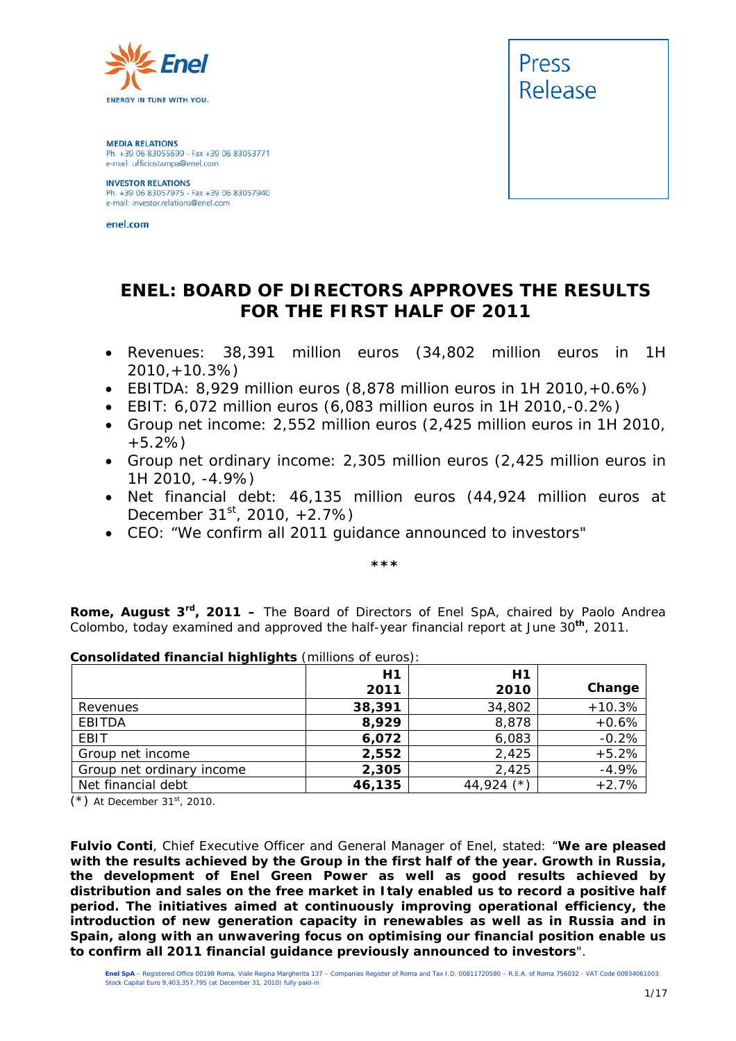

**MEDIA RELATIONS** Ph. +39 06 83055699 - Fax +39 06 83053771 e-mail: ufficiostampa@enel.com

**INVESTOR RELATIONS**<br>Ph. +39 06 83057975 - Fax +39 06 83057940 e-mail: investor.relations@enel.com

enel.com



# **ENEL: BOARD OF DIRECTORS APPROVES THE RESULTS FOR THE FIRST HALF OF 2011**

- *Revenues: 38,391 million euros (34,802 million euros in 1H 2010,+10.3%)*
- *EBITDA: 8,929 million euros (8,878 million euros in 1H 2010,+0.6%)*
- *EBIT: 6,072 million euros (6,083 million euros in 1H 2010,-0.2%)*
- *Group net income: 2,552 million euros (2,425 million euros in 1H 2010, +5.2%)*
- *Group net ordinary income: 2,305 million euros (2,425 million euros in 1H 2010, -4.9%)*
- *Net financial debt: 46,135 million euros (44,924 million euros at December 31st, 2010, +2.7%)*
- *CEO: "We confirm all 2011 guidance announced to investors"*

*\*\*\**

**Rome, August 3rd, 2011 –** The Board of Directors of Enel SpA, chaired by Paolo Andrea Colombo, today examined and approved the half-year financial report at June 30**th**, 2011.

|                           | H1<br>2011 | H1<br>2010      | Change   |
|---------------------------|------------|-----------------|----------|
| Revenues                  | 38,391     | 34,802          | $+10.3%$ |
| EBITDA                    | 8,929      | 8,878           | $+0.6%$  |
| <b>EBIT</b>               | 6,072      | 6,083           | $-0.2%$  |
| Group net income          | 2,552      | 2,425           | $+5.2%$  |
| Group net ordinary income | 2,305      | 2,425           | $-4.9%$  |
| Net financial debt        | 46,135     | $(*)$<br>44,924 | $+2.7%$  |

**Consolidated financial highlights** (millions of euros):

(*\**) *At December 31st, 2010.*

**Fulvio Conti**, Chief Executive Officer and General Manager of Enel, stated: "*We are pleased with the results achieved by the Group in the first half of the year. Growth in Russia, the development of Enel Green Power as well as good results achieved by distribution and sales on the free market in Italy enabled us to record a positive half period. The initiatives aimed at continuously improving operational efficiency, the introduction of new generation capacity in renewables as well as in Russia and in Spain, along with an unwavering focus on optimising our financial position enable us to confirm all 2011 financial guidance previously announced to investors".*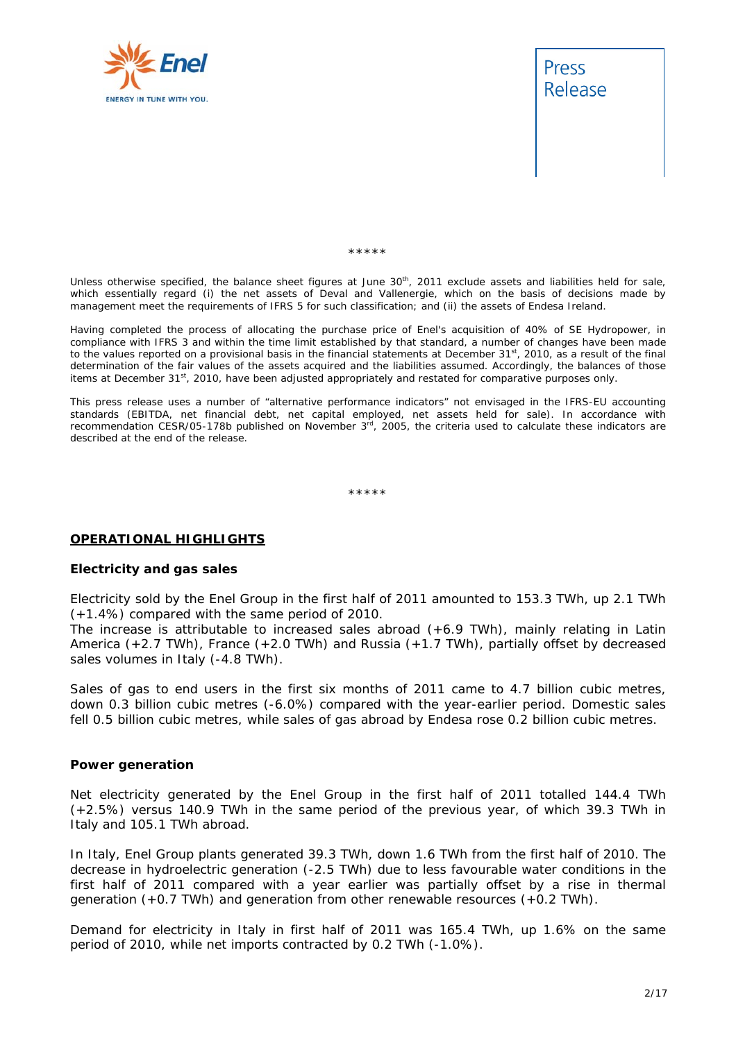



\*\*\*\*\*

Unless otherwise specified, the balance sheet figures at June 30<sup>th</sup>, 2011 exclude assets and liabilities held for sale, which essentially regard (i) the net assets of Deval and Vallenergie, which on the basis of decisions made by management meet the requirements of IFRS 5 for such classification; and (ii) the assets of Endesa Ireland.

Having completed the process of allocating the purchase price of Enel's acquisition of 40% of SE Hydropower, in compliance with IFRS 3 and within the time limit established by that standard, a number of changes have been made to the values reported on a provisional basis in the financial statements at December 31<sup>st</sup>, 2010, as a result of the final determination of the fair values of the assets acquired and the liabilities assumed. Accordingly, the balances of those items at December 31<sup>st</sup>, 2010, have been adjusted appropriately and restated for comparative purposes only.

This press release uses a number of "alternative performance indicators" not envisaged in the IFRS-EU accounting standards (EBITDA, net financial debt, net capital employed, net assets held for sale). In accordance with recommendation CESR/05-178b published on November  $3^{rd}$ , 2005, the criteria used to calculate these indicators are described at the end of the release.

\*\*\*\*\*

#### **OPERATIONAL HIGHLIGHTS**

#### **Electricity and gas sales**

Electricity sold by the Enel Group in the first half of 2011 amounted to 153.3 TWh, up 2.1 TWh (+1.4%) compared with the same period of 2010.

The increase is attributable to increased sales abroad (+6.9 TWh), mainly relating in Latin America (+2.7 TWh), France (+2.0 TWh) and Russia (+1.7 TWh), partially offset by decreased sales volumes in Italy (-4.8 TWh).

Sales of gas to end users in the first six months of 2011 came to 4.7 billion cubic metres, down 0.3 billion cubic metres (-6.0%) compared with the year-earlier period. Domestic sales fell 0.5 billion cubic metres, while sales of gas abroad by Endesa rose 0.2 billion cubic metres.

#### **Power generation**

Net electricity generated by the Enel Group in the first half of 2011 totalled 144.4 TWh (+2.5%) versus 140.9 TWh in the same period of the previous year, of which 39.3 TWh in Italy and 105.1 TWh abroad.

In Italy, Enel Group plants generated 39.3 TWh, down 1.6 TWh from the first half of 2010. The decrease in hydroelectric generation (-2.5 TWh) due to less favourable water conditions in the first half of 2011 compared with a year earlier was partially offset by a rise in thermal generation (+0.7 TWh) and generation from other renewable resources (+0.2 TWh).

Demand for electricity in Italy in first half of 2011 was 165.4 TWh, up 1.6% on the same period of 2010, while net imports contracted by 0.2 TWh (-1.0%).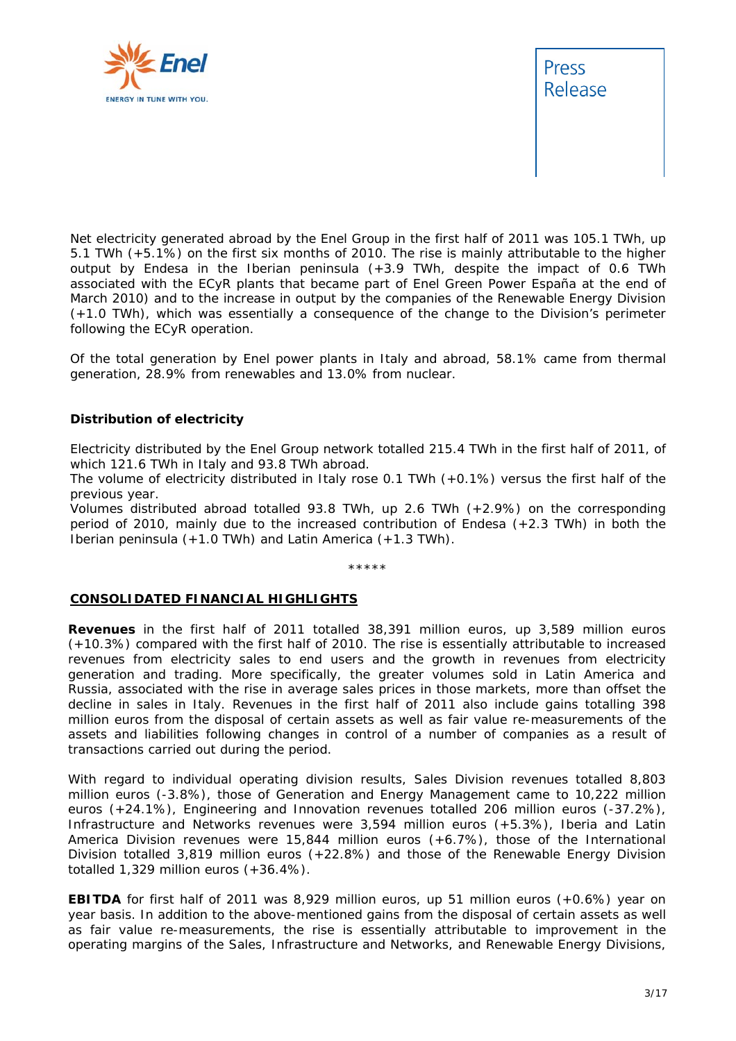



Net electricity generated abroad by the Enel Group in the first half of 2011 was 105.1 TWh, up 5.1 TWh (+5.1%) on the first six months of 2010. The rise is mainly attributable to the higher output by Endesa in the Iberian peninsula (+3.9 TWh, despite the impact of 0.6 TWh associated with the ECyR plants that became part of Enel Green Power España at the end of March 2010) and to the increase in output by the companies of the Renewable Energy Division (+1.0 TWh), which was essentially a consequence of the change to the Division's perimeter following the ECyR operation.

Of the total generation by Enel power plants in Italy and abroad, 58.1% came from thermal generation, 28.9% from renewables and 13.0% from nuclear.

#### **Distribution of electricity**

Electricity distributed by the Enel Group network totalled 215.4 TWh in the first half of 2011, of which 121.6 TWh in Italy and 93.8 TWh abroad.

The volume of electricity distributed in Italy rose 0.1 TWh (+0.1%) versus the first half of the previous year.

Volumes distributed abroad totalled 93.8 TWh, up 2.6 TWh (+2.9%) on the corresponding period of 2010, mainly due to the increased contribution of Endesa (+2.3 TWh) in both the Iberian peninsula (+1.0 TWh) and Latin America (+1.3 TWh).

\*\*\*\*\*

#### **CONSOLIDATED FINANCIAL HIGHLIGHTS**

**Revenues** in the first half of 2011 totalled 38,391 million euros, up 3,589 million euros (+10.3%) compared with the first half of 2010. The rise is essentially attributable to increased revenues from electricity sales to end users and the growth in revenues from electricity generation and trading. More specifically, the greater volumes sold in Latin America and Russia, associated with the rise in average sales prices in those markets, more than offset the decline in sales in Italy. Revenues in the first half of 2011 also include gains totalling 398 million euros from the disposal of certain assets as well as fair value re-measurements of the assets and liabilities following changes in control of a number of companies as a result of transactions carried out during the period.

With regard to individual operating division results, Sales Division revenues totalled 8,803 million euros (-3.8%), those of Generation and Energy Management came to 10,222 million euros (+24.1%), Engineering and Innovation revenues totalled 206 million euros (-37.2%), Infrastructure and Networks revenues were 3,594 million euros (+5.3%), Iberia and Latin America Division revenues were 15,844 million euros (+6.7%), those of the International Division totalled 3,819 million euros (+22.8%) and those of the Renewable Energy Division totalled 1,329 million euros (+36.4%).

**EBITDA** for first half of 2011 was 8,929 million euros, up 51 million euros (+0.6%) year on year basis. In addition to the above-mentioned gains from the disposal of certain assets as well as fair value re-measurements, the rise is essentially attributable to improvement in the operating margins of the Sales, Infrastructure and Networks, and Renewable Energy Divisions,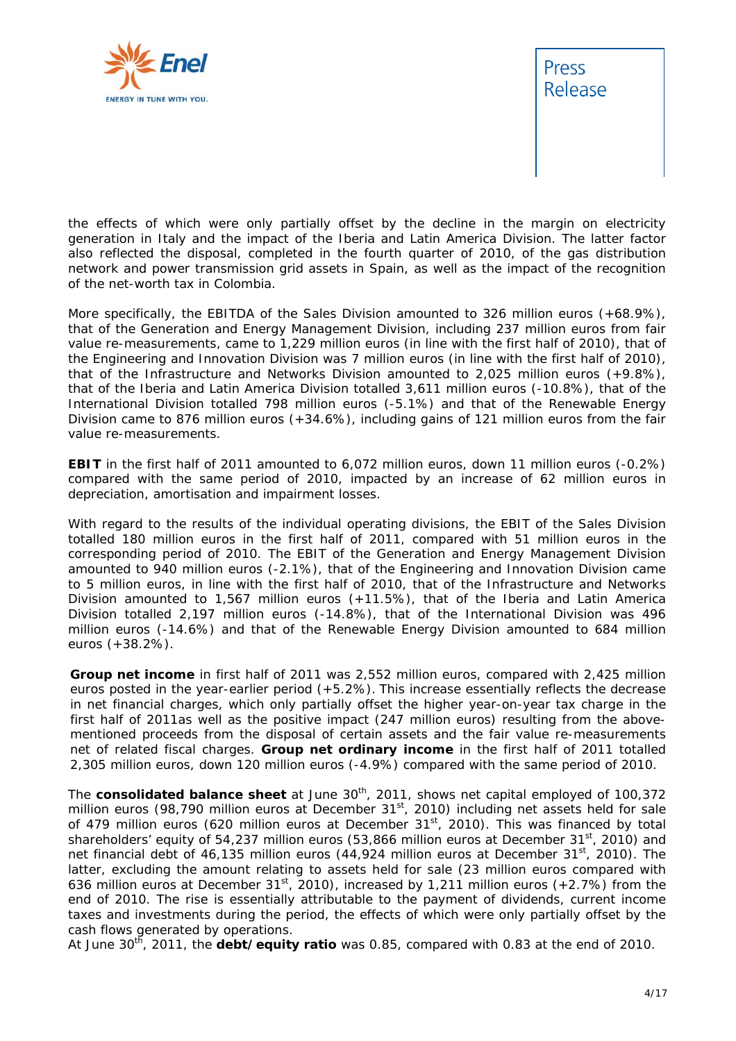



the effects of which were only partially offset by the decline in the margin on electricity generation in Italy and the impact of the Iberia and Latin America Division. The latter factor also reflected the disposal, completed in the fourth quarter of 2010, of the gas distribution network and power transmission grid assets in Spain, as well as the impact of the recognition of the net-worth tax in Colombia.

More specifically, the EBITDA of the Sales Division amounted to 326 million euros (+68.9%), that of the Generation and Energy Management Division, including 237 million euros from fair value re-measurements, came to 1,229 million euros (in line with the first half of 2010), that of the Engineering and Innovation Division was 7 million euros (in line with the first half of 2010), that of the Infrastructure and Networks Division amounted to 2,025 million euros (+9.8%), that of the Iberia and Latin America Division totalled 3,611 million euros (-10.8%), that of the International Division totalled 798 million euros (-5.1%) and that of the Renewable Energy Division came to 876 million euros (+34.6%), including gains of 121 million euros from the fair value re-measurements.

**EBIT** in the first half of 2011 amounted to 6,072 million euros, down 11 million euros (-0.2%) compared with the same period of 2010, impacted by an increase of 62 million euros in depreciation, amortisation and impairment losses.

With regard to the results of the individual operating divisions, the EBIT of the Sales Division totalled 180 million euros in the first half of 2011, compared with 51 million euros in the corresponding period of 2010. The EBIT of the Generation and Energy Management Division amounted to 940 million euros (-2.1%), that of the Engineering and Innovation Division came to 5 million euros, in line with the first half of 2010, that of the Infrastructure and Networks Division amounted to 1,567 million euros (+11.5%), that of the Iberia and Latin America Division totalled 2,197 million euros (-14.8%), that of the International Division was 496 million euros (-14.6%) and that of the Renewable Energy Division amounted to 684 million euros (+38.2%).

**Group net income** in first half of 2011 was 2,552 million euros, compared with 2,425 million euros posted in the year-earlier period (+5.2%). This increase essentially reflects the decrease in net financial charges, which only partially offset the higher year-on-year tax charge in the first half of 2011as well as the positive impact (247 million euros) resulting from the abovementioned proceeds from the disposal of certain assets and the fair value re-measurements net of related fiscal charges. **Group net ordinary income** in the first half of 2011 totalled 2,305 million euros, down 120 million euros (-4.9%) compared with the same period of 2010.

The **consolidated balance sheet** at June 30<sup>th</sup>, 2011, shows net capital employed of 100,372 million euros (98,790 million euros at December 31<sup>st</sup>, 2010) including net assets held for sale of 479 million euros (620 million euros at December 31<sup>st</sup>, 2010). This was financed by total shareholders' equity of 54,237 million euros (53,866 million euros at December 31<sup>st</sup>, 2010) and net financial debt of 46,135 million euros (44,924 million euros at December 31<sup>st</sup>, 2010). The latter, excluding the amount relating to assets held for sale (23 million euros compared with 636 million euros at December 31<sup>st</sup>, 2010), increased by 1,211 million euros (+2.7%) from the end of 2010. The rise is essentially attributable to the payment of dividends, current income taxes and investments during the period, the effects of which were only partially offset by the cash flows generated by operations.

At June 30th, 2011, the **debt/equity ratio** was 0.85, compared with 0.83 at the end of 2010.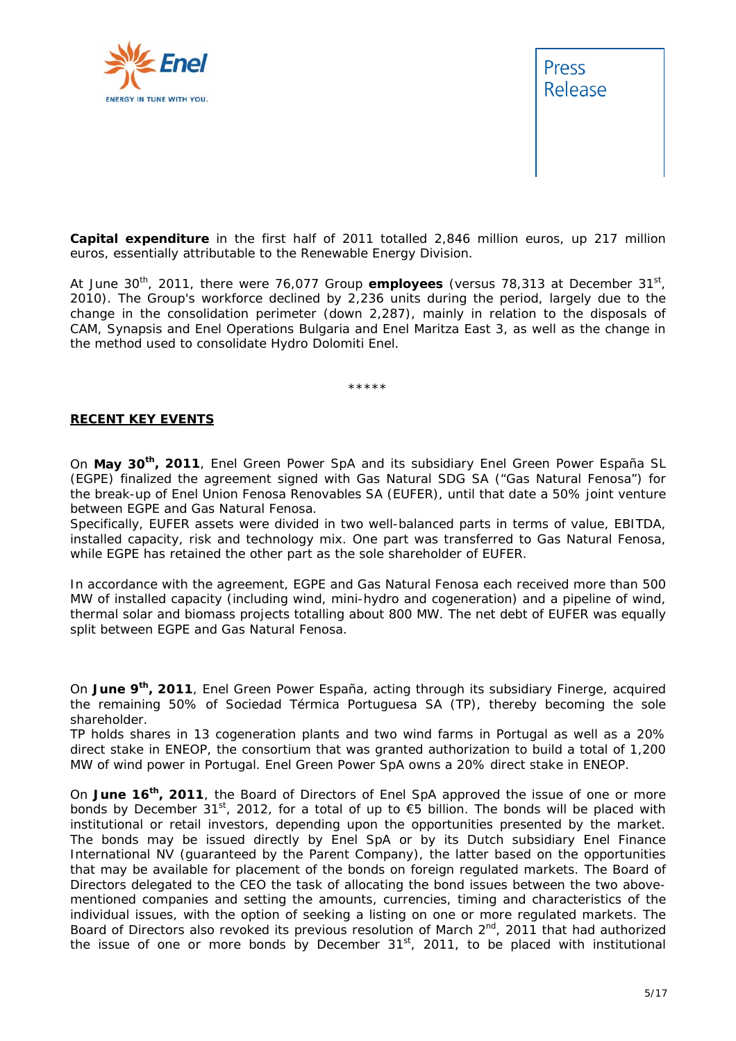



**Capital expenditure** in the first half of 2011 totalled 2,846 million euros, up 217 million euros, essentially attributable to the Renewable Energy Division.

At June 30<sup>th</sup>, 2011, there were 76,077 Group **employees** (versus 78,313 at December 31<sup>st</sup>, 2010). The Group's workforce declined by 2,236 units during the period, largely due to the change in the consolidation perimeter (down 2,287), mainly in relation to the disposals of CAM, Synapsis and Enel Operations Bulgaria and Enel Maritza East 3, as well as the change in the method used to consolidate Hydro Dolomiti Enel.

\*\*\*\*\*

#### **RECENT KEY EVENTS**

On **May 30th, 2011**, Enel Green Power SpA and its subsidiary Enel Green Power España SL (EGPE) finalized the agreement signed with Gas Natural SDG SA ("Gas Natural Fenosa") for the break-up of Enel Union Fenosa Renovables SA (EUFER), until that date a 50% joint venture between EGPE and Gas Natural Fenosa.

Specifically, EUFER assets were divided in two well-balanced parts in terms of value, EBITDA, installed capacity, risk and technology mix. One part was transferred to Gas Natural Fenosa, while EGPE has retained the other part as the sole shareholder of EUFER.

In accordance with the agreement, EGPE and Gas Natural Fenosa each received more than 500 MW of installed capacity (including wind, mini-hydro and cogeneration) and a pipeline of wind, thermal solar and biomass projects totalling about 800 MW. The net debt of EUFER was equally split between EGPE and Gas Natural Fenosa.

On **June 9th, 2011**, Enel Green Power España, acting through its subsidiary Finerge, acquired the remaining 50% of Sociedad Térmica Portuguesa SA (TP), thereby becoming the sole shareholder.

TP holds shares in 13 cogeneration plants and two wind farms in Portugal as well as a 20% direct stake in ENEOP, the consortium that was granted authorization to build a total of 1,200 MW of wind power in Portugal. Enel Green Power SpA owns a 20% direct stake in ENEOP.

On **June 16th, 2011**, the Board of Directors of Enel SpA approved the issue of one or more bonds by December 31<sup>st</sup>, 2012, for a total of up to  $\epsilon$ 5 billion. The bonds will be placed with institutional or retail investors, depending upon the opportunities presented by the market. The bonds may be issued directly by Enel SpA or by its Dutch subsidiary Enel Finance International NV (guaranteed by the Parent Company), the latter based on the opportunities that may be available for placement of the bonds on foreign regulated markets. The Board of Directors delegated to the CEO the task of allocating the bond issues between the two abovementioned companies and setting the amounts, currencies, timing and characteristics of the individual issues, with the option of seeking a listing on one or more regulated markets. The Board of Directors also revoked its previous resolution of March 2<sup>nd</sup>, 2011 that had authorized the issue of one or more bonds by December  $31<sup>st</sup>$ , 2011, to be placed with institutional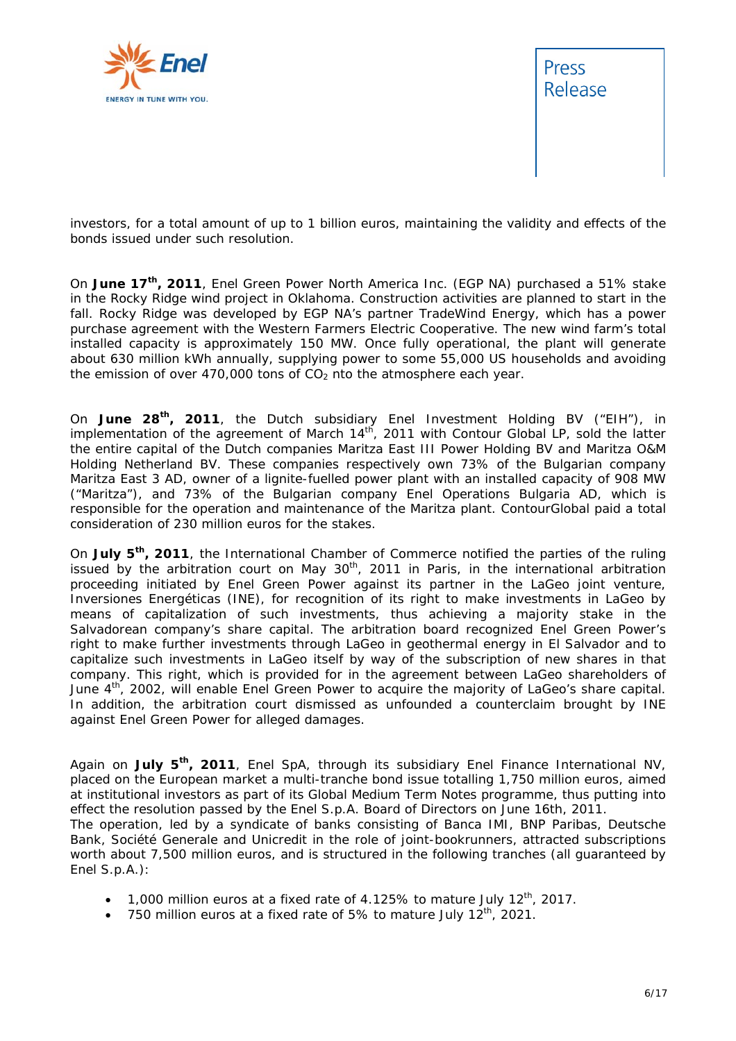



investors, for a total amount of up to 1 billion euros, maintaining the validity and effects of the bonds issued under such resolution.

On **June 17th, 2011**, Enel Green Power North America Inc. (EGP NA) purchased a 51% stake in the Rocky Ridge wind project in Oklahoma. Construction activities are planned to start in the fall. Rocky Ridge was developed by EGP NA's partner TradeWind Energy, which has a power purchase agreement with the Western Farmers Electric Cooperative. The new wind farm's total installed capacity is approximately 150 MW. Once fully operational, the plant will generate about 630 million kWh annually, supplying power to some 55,000 US households and avoiding the emission of over 470,000 tons of  $CO<sub>2</sub>$  nto the atmosphere each year.

On **June 28th, 2011**, the Dutch subsidiary Enel Investment Holding BV ("EIH"), in implementation of the agreement of March 14<sup>th</sup>, 2011 with Contour Global LP, sold the latter the entire capital of the Dutch companies Maritza East III Power Holding BV and Maritza O&M Holding Netherland BV. These companies respectively own 73% of the Bulgarian company Maritza East 3 AD, owner of a lignite-fuelled power plant with an installed capacity of 908 MW ("Maritza"), and 73% of the Bulgarian company Enel Operations Bulgaria AD, which is responsible for the operation and maintenance of the Maritza plant. ContourGlobal paid a total consideration of 230 million euros for the stakes.

On **July 5th, 2011**, the International Chamber of Commerce notified the parties of the ruling issued by the arbitration court on May 30<sup>th</sup>, 2011 in Paris, in the international arbitration proceeding initiated by Enel Green Power against its partner in the LaGeo joint venture, Inversiones Energéticas (INE), for recognition of its right to make investments in LaGeo by means of capitalization of such investments, thus achieving a majority stake in the Salvadorean company's share capital. The arbitration board recognized Enel Green Power's right to make further investments through LaGeo in geothermal energy in El Salvador and to capitalize such investments in LaGeo itself by way of the subscription of new shares in that company. This right, which is provided for in the agreement between LaGeo shareholders of June 4<sup>th</sup>, 2002, will enable Enel Green Power to acquire the majority of LaGeo's share capital. In addition, the arbitration court dismissed as unfounded a counterclaim brought by INE against Enel Green Power for alleged damages.

Again on **July 5th, 2011**, Enel SpA, through its subsidiary Enel Finance International NV, placed on the European market a multi-tranche bond issue totalling 1,750 million euros, aimed at institutional investors as part of its Global Medium Term Notes programme, thus putting into effect the resolution passed by the Enel S.p.A. Board of Directors on June 16th, 2011.

The operation, led by a syndicate of banks consisting of Banca IMI, BNP Paribas, Deutsche Bank, Société Generale and Unicredit in the role of joint-bookrunners, attracted subscriptions worth about 7,500 million euros, and is structured in the following tranches (all guaranteed by Enel S.p.A.):

- $\bullet$  1,000 million euros at a fixed rate of 4.125% to mature July 12<sup>th</sup>, 2017.
- $\bullet$  750 million euros at a fixed rate of 5% to mature July 12<sup>th</sup>, 2021.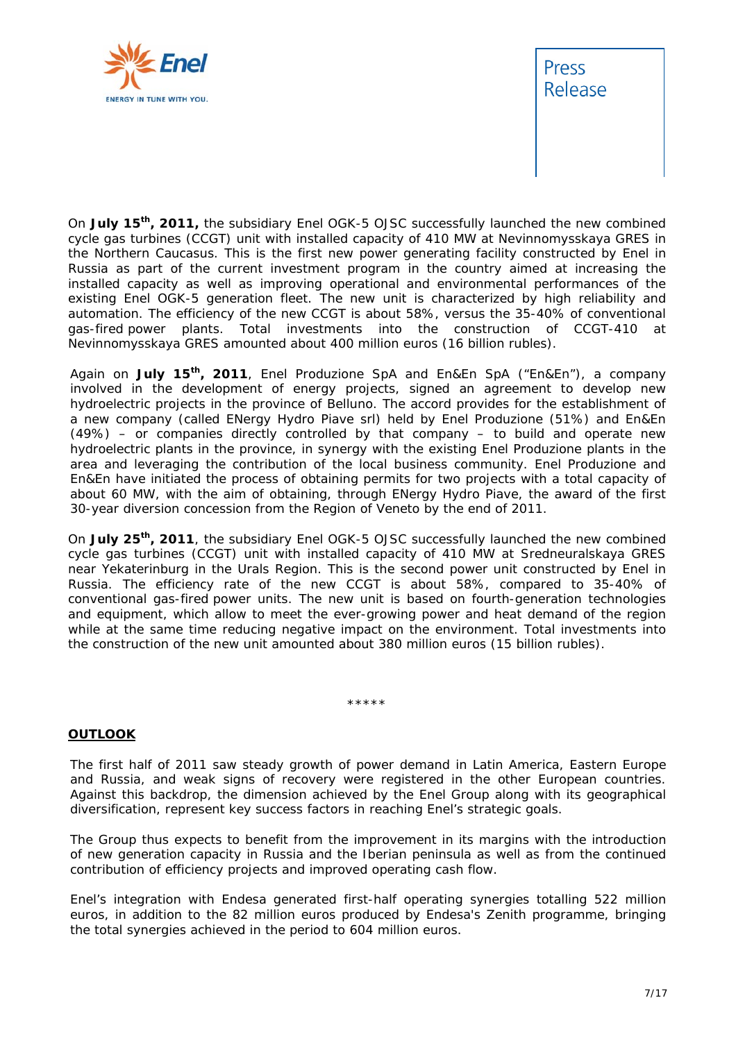



On **July 15th, 2011,** the subsidiary Enel OGK-5 OJSC successfully launched the new combined cycle gas turbines (CCGT) unit with installed capacity of 410 MW at Nevinnomysskaya GRES in the Northern Caucasus. This is the first new power generating facility constructed by Enel in Russia as part of the current investment program in the country aimed at increasing the installed capacity as well as improving operational and environmental performances of the existing Enel OGK-5 generation fleet. The new unit is characterized by high reliability and automation. The efficiency of the new CCGT is about 58%, versus the 35-40% of conventional gas-fired power plants. Total investments into the construction of CCGT-410 at Nevinnomysskaya GRES amounted about 400 million euros (16 billion rubles).

Again on **July 15th, 2011**, Enel Produzione SpA and En&En SpA ("En&En"), a company involved in the development of energy projects, signed an agreement to develop new hydroelectric projects in the province of Belluno. The accord provides for the establishment of a new company (called ENergy Hydro Piave srl) held by Enel Produzione (51%) and En&En (49%) – or companies directly controlled by that company – to build and operate new hydroelectric plants in the province, in synergy with the existing Enel Produzione plants in the area and leveraging the contribution of the local business community. Enel Produzione and En&En have initiated the process of obtaining permits for two projects with a total capacity of about 60 MW, with the aim of obtaining, through ENergy Hydro Piave, the award of the first 30-year diversion concession from the Region of Veneto by the end of 2011.

On **July 25th, 2011**, the subsidiary Enel OGK-5 OJSC successfully launched the new combined cycle gas turbines (CCGT) unit with installed capacity of 410 MW at Sredneuralskaya GRES near Yekaterinburg in the Urals Region. This is the second power unit constructed by Enel in Russia. The efficiency rate of the new CCGT is about 58%, compared to 35-40% of conventional gas-fired power units. The new unit is based on fourth-generation technologies and equipment, which allow to meet the ever-growing power and heat demand of the region while at the same time reducing negative impact on the environment. Total investments into the construction of the new unit amounted about 380 million euros (15 billion rubles).

\*\*\*\*\*

#### **OUTLOOK**

The first half of 2011 saw steady growth of power demand in Latin America, Eastern Europe and Russia, and weak signs of recovery were registered in the other European countries. Against this backdrop, the dimension achieved by the Enel Group along with its geographical diversification, represent key success factors in reaching Enel's strategic goals.

The Group thus expects to benefit from the improvement in its margins with the introduction of new generation capacity in Russia and the Iberian peninsula as well as from the continued contribution of efficiency projects and improved operating cash flow.

Enel's integration with Endesa generated first-half operating synergies totalling 522 million euros, in addition to the 82 million euros produced by Endesa's Zenith programme, bringing the total synergies achieved in the period to 604 million euros.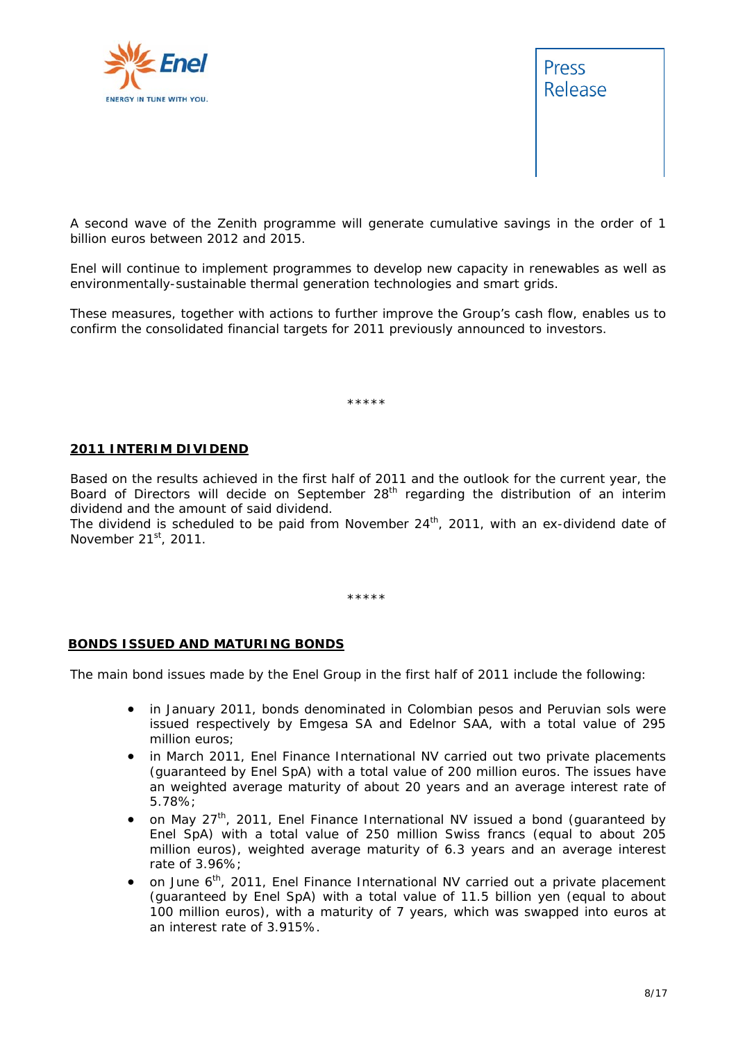



A second wave of the Zenith programme will generate cumulative savings in the order of 1 billion euros between 2012 and 2015.

Enel will continue to implement programmes to develop new capacity in renewables as well as environmentally-sustainable thermal generation technologies and smart grids.

These measures, together with actions to further improve the Group's cash flow, enables us to confirm the consolidated financial targets for 2011 previously announced to investors.

\*\*\*\*\*

#### **2011 INTERIM DIVIDEND**

Based on the results achieved in the first half of 2011 and the outlook for the current year, the Board of Directors will decide on September 28<sup>th</sup> regarding the distribution of an interim dividend and the amount of said dividend.

The dividend is scheduled to be paid from November  $24<sup>th</sup>$ , 2011, with an ex-dividend date of November 21<sup>st</sup>, 2011.

\*\*\*\*\*

#### **BONDS ISSUED AND MATURING BONDS**

The main bond issues made by the Enel Group in the first half of 2011 include the following:

- in January 2011, bonds denominated in Colombian pesos and Peruvian sols were issued respectively by Emgesa SA and Edelnor SAA, with a total value of 295 million euros;
- in March 2011, Enel Finance International NV carried out two private placements (guaranteed by Enel SpA) with a total value of 200 million euros. The issues have an weighted average maturity of about 20 years and an average interest rate of 5.78%;
- on May  $27<sup>th</sup>$ , 2011, Enel Finance International NV issued a bond (quaranteed by Enel SpA) with a total value of 250 million Swiss francs (equal to about 205 million euros), weighted average maturity of 6.3 years and an average interest rate of 3.96%;
- on June 6<sup>th</sup>, 2011, Enel Finance International NV carried out a private placement (guaranteed by Enel SpA) with a total value of 11.5 billion yen (equal to about 100 million euros), with a maturity of 7 years, which was swapped into euros at an interest rate of 3.915%.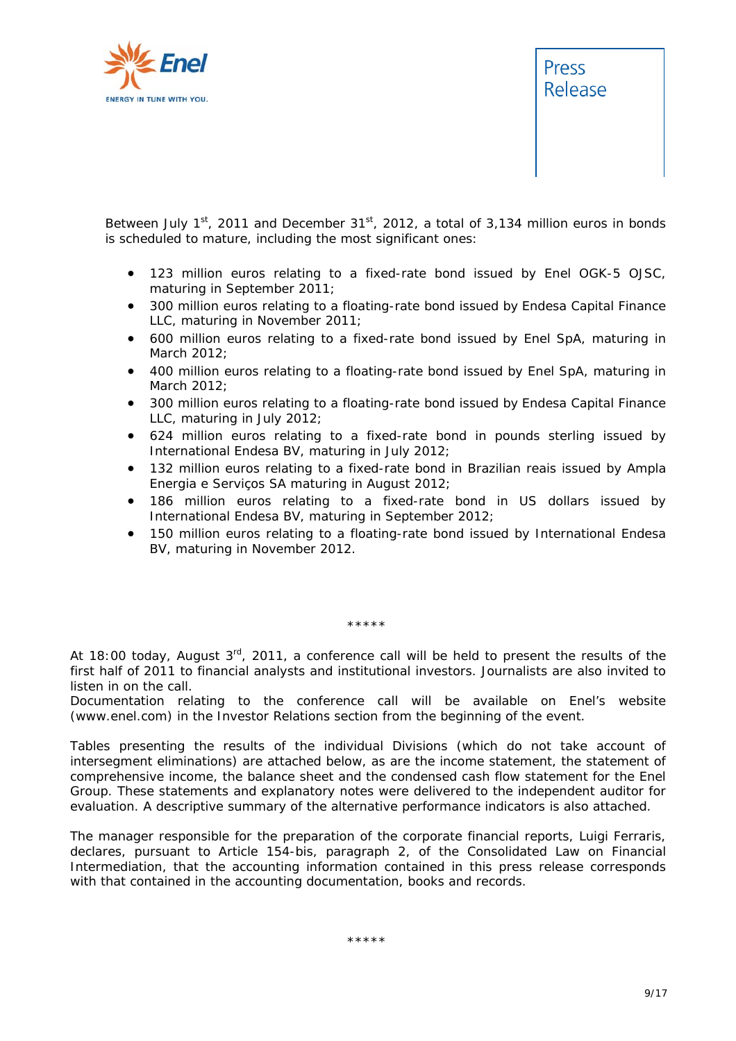



Between July  $1^{st}$ , 2011 and December  $31^{st}$ , 2012, a total of 3,134 million euros in bonds is scheduled to mature, including the most significant ones:

- 123 million euros relating to a fixed-rate bond issued by Enel OGK-5 OJSC, maturing in September 2011;
- 300 million euros relating to a floating-rate bond issued by Endesa Capital Finance LLC, maturing in November 2011;
- 600 million euros relating to a fixed-rate bond issued by Enel SpA, maturing in March 2012;
- 400 million euros relating to a floating-rate bond issued by Enel SpA, maturing in March 2012;
- 300 million euros relating to a floating-rate bond issued by Endesa Capital Finance LLC, maturing in July 2012;
- 624 million euros relating to a fixed-rate bond in pounds sterling issued by International Endesa BV, maturing in July 2012;
- 132 million euros relating to a fixed-rate bond in Brazilian reais issued by Ampla Energia e Serviços SA maturing in August 2012;
- 186 million euros relating to a fixed-rate bond in US dollars issued by International Endesa BV, maturing in September 2012;
- 150 million euros relating to a floating-rate bond issued by International Endesa BV, maturing in November 2012.

\*\*\*\*\*

*At 18:00 today, August 3rd, 2011, a conference call will be held to present the results of the first half of 2011 to financial analysts and institutional investors. Journalists are also invited to listen in on the call.* 

*Documentation relating to the conference call will be available on Enel's website (www.enel.com) in the Investor Relations section from the beginning of the event.* 

Tables presenting the results of the individual Divisions (which do not take account of *intersegment eliminations) are attached below, as are the income statement, the statement of comprehensive income, the balance sheet and the condensed cash flow statement for the Enel Group. These statements and explanatory notes were delivered to the independent auditor for evaluation. A descriptive summary of the alternative performance indicators is also attached.* 

*The manager responsible for the preparation of the corporate financial reports, Luigi Ferraris, declares, pursuant to Article 154-bis, paragraph 2, of the Consolidated Law on Financial Intermediation, that the accounting information contained in this press release corresponds with that contained in the accounting documentation, books and records.* 

\*\*\*\*\*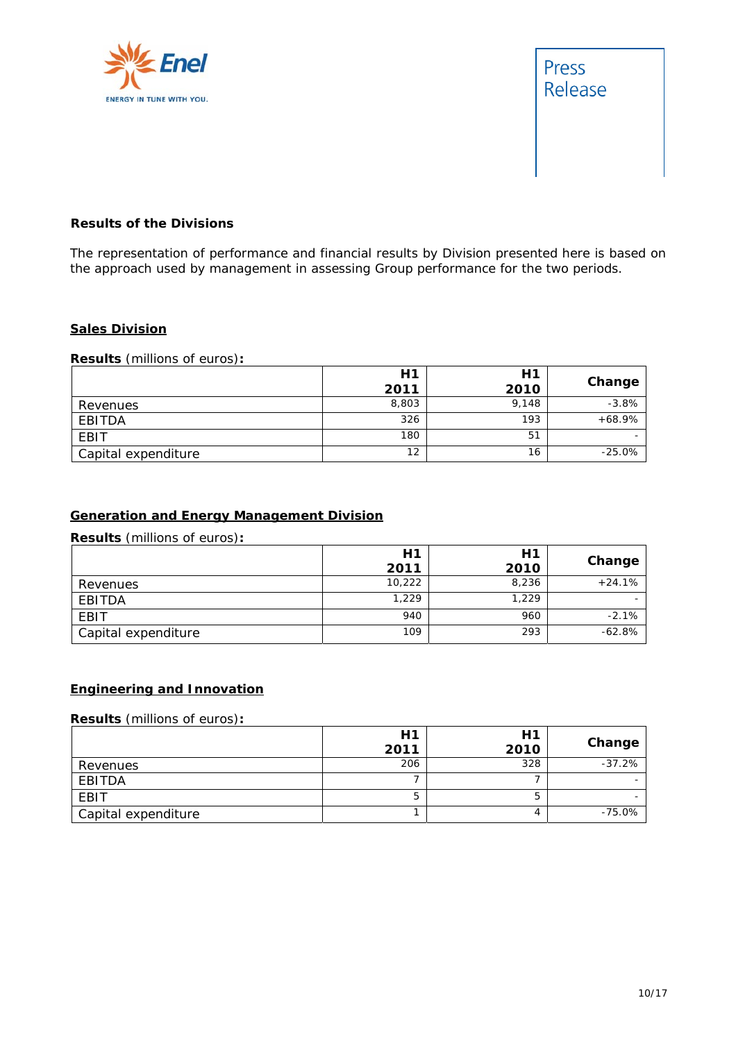



#### **Results of the Divisions**

The representation of performance and financial results by Division presented here is based on the approach used by management in assessing Group performance for the two periods.

#### **Sales Division**

**Results** (millions of euros)**:** 

|                     | H1<br>2011 | H1<br>2010 | Change   |
|---------------------|------------|------------|----------|
| Revenues            | 8,803      | 9.148      | $-3.8%$  |
| EBITDA              | 326        | 193        | $+68.9%$ |
| <b>EBIT</b>         | 180        | 51         |          |
| Capital expenditure | 12         | 16         | $-25.0%$ |

#### **Generation and Energy Management Division**

#### **Results** (millions of euros)**:**

|                     | H1<br>2011 | Η1<br>2010 | Change   |
|---------------------|------------|------------|----------|
| Revenues            | 10,222     | 8,236      | $+24.1%$ |
| EBITDA              | 1,229      | 1,229      |          |
| EBIT                | 940        | 960        | $-2.1%$  |
| Capital expenditure | 109        | 293        | $-62.8%$ |

#### **Engineering and Innovation**

#### **Results** (millions of euros)**:**

|                     | H1<br>2011 | Η1<br>2010 | Change   |
|---------------------|------------|------------|----------|
| Revenues            | 206        | 328        | $-37.2%$ |
| EBITDA              |            |            |          |
| <b>EBIT</b>         |            | c          |          |
| Capital expenditure |            |            | $-75.0%$ |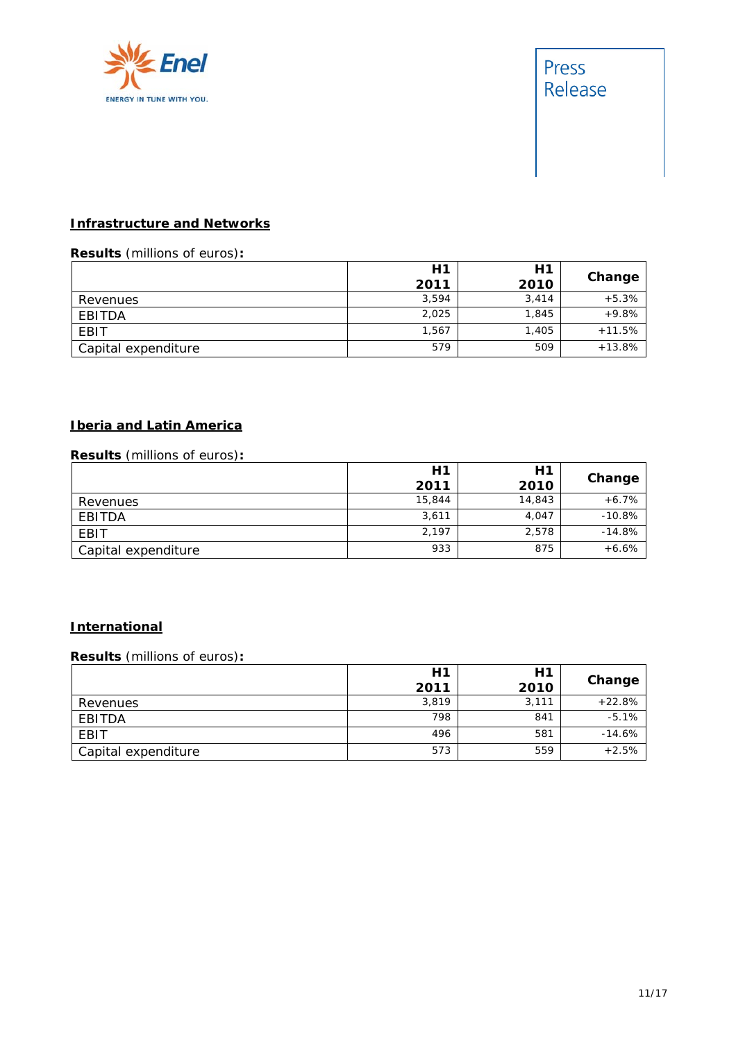

#### **Infrastructure and Networks**

#### **Results** (millions of euros)**:**

|                     | H1<br>2011 | H1<br>2010 | Change   |
|---------------------|------------|------------|----------|
| Revenues            | 3,594      | 3,414      | $+5.3%$  |
| EBITDA              | 2,025      | 1,845      | $+9.8%$  |
| <b>EBIT</b>         | 1,567      | 1,405      | $+11.5%$ |
| Capital expenditure | 579        | 509        | $+13.8%$ |

#### **Iberia and Latin America**

#### **Results** (millions of euros)**:**

|                     | H1<br>2011 | H1<br>2010 | Change   |
|---------------------|------------|------------|----------|
| Revenues            | 15,844     | 14,843     | $+6.7%$  |
| EBITDA              | 3.611      | 4.047      | $-10.8%$ |
| EBIT                | 2,197      | 2.578      | $-14.8%$ |
| Capital expenditure | 933        | 875        | $+6.6%$  |

#### **International**

#### **Results** (millions of euros)**:**

|                     | H1<br>2011 | Η1<br>2010 | Change   |
|---------------------|------------|------------|----------|
| Revenues            | 3,819      | 3,111      | $+22.8%$ |
| EBITDA              | 798        | 841        | $-5.1%$  |
| <b>EBIT</b>         | 496        | 581        | $-14.6%$ |
| Capital expenditure | 573        | 559        | $+2.5%$  |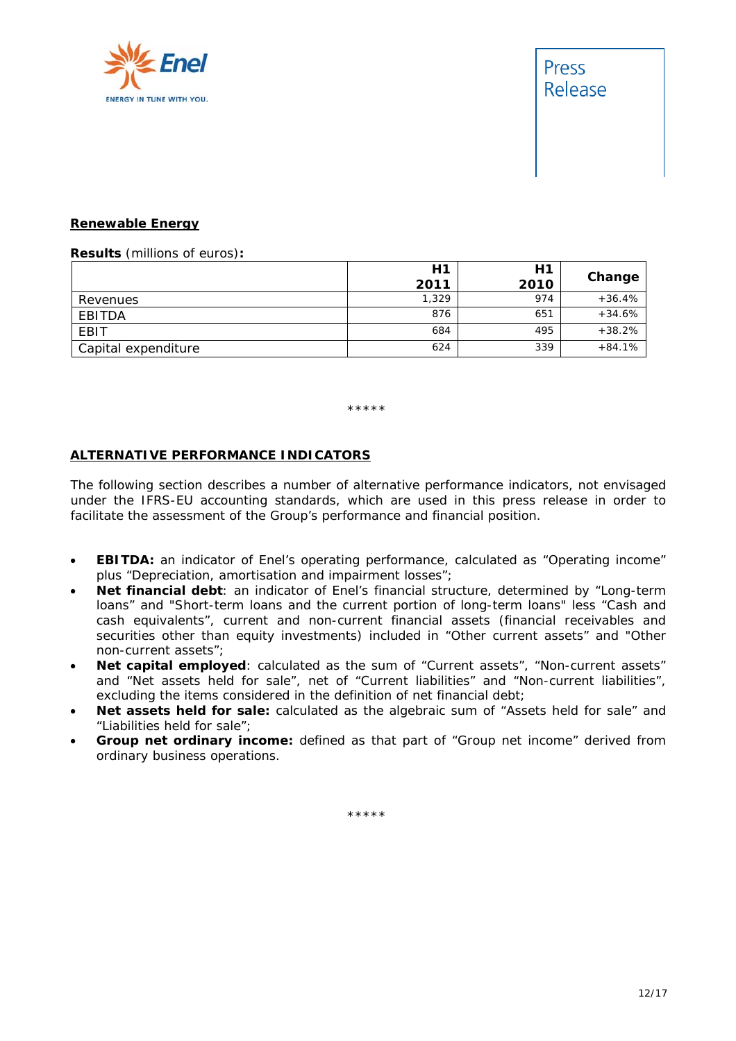

#### **Renewable Energy**

**Results** (millions of euros)**:** 

|                     | H1<br>2011 | H1<br>2010 | Change   |
|---------------------|------------|------------|----------|
| Revenues            | 1,329      | 974        | $+36.4%$ |
| EBITDA              | 876        | 651        | $+34.6%$ |
| <b>EBIT</b>         | 684        | 495        | $+38.2%$ |
| Capital expenditure | 624        | 339        | $+84.1%$ |

#### \*\*\*\*\*

#### **ALTERNATIVE PERFORMANCE INDICATORS**

The following section describes a number of alternative performance indicators, not envisaged under the IFRS-EU accounting standards, which are used in this press release in order to facilitate the assessment of the Group's performance and financial position.

- **EBITDA:** an indicator of Enel's operating performance, calculated as "Operating income" plus "Depreciation, amortisation and impairment losses";
- **Net financial debt**: an indicator of Enel's financial structure, determined by "Long-term loans" and "Short-term loans and the current portion of long-term loans" less "Cash and cash equivalents", current and non-current financial assets (financial receivables and securities other than equity investments) included in "Other current assets" and "Other non-current assets";
- **Net capital employed**: calculated as the sum of "Current assets", "Non-current assets" and "Net assets held for sale", net of "Current liabilities" and "Non-current liabilities", excluding the items considered in the definition of net financial debt;
- **Net assets held for sale:** calculated as the algebraic sum of "Assets held for sale" and "Liabilities held for sale";
- **Group net ordinary income:** defined as that part of "Group net income" derived from ordinary business operations.

\*\*\*\*\*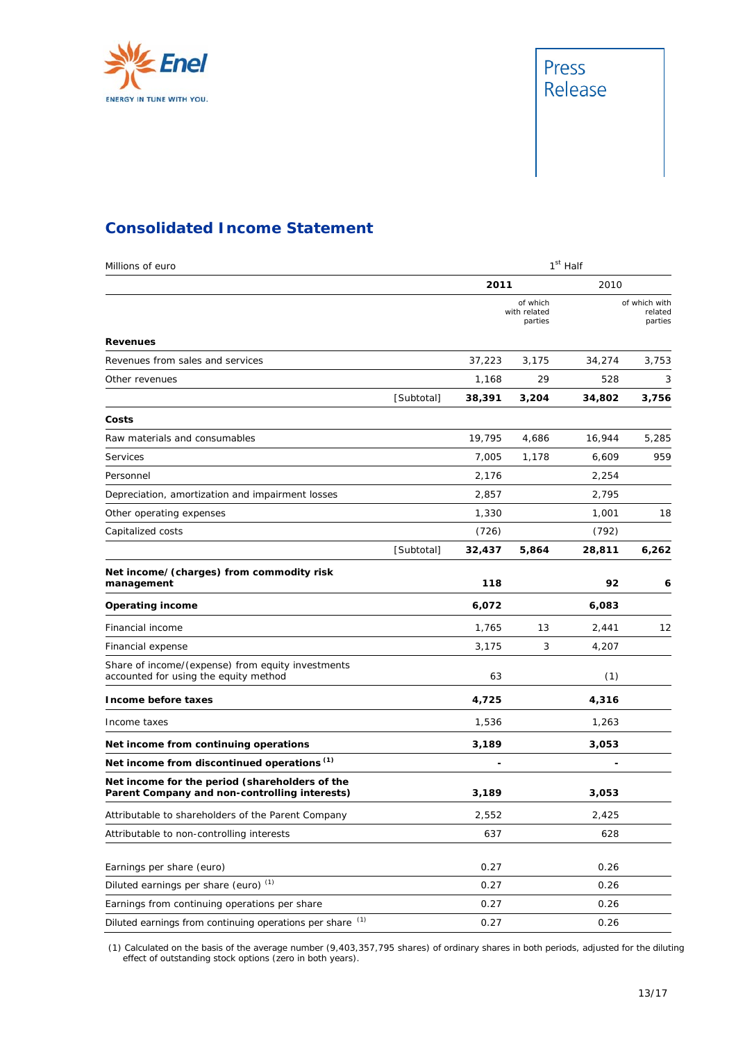



### **Consolidated Income Statement**

| Millions of euro                                                                                |            | 1 <sup>st</sup> Half |                                     |        |                                     |  |
|-------------------------------------------------------------------------------------------------|------------|----------------------|-------------------------------------|--------|-------------------------------------|--|
|                                                                                                 |            | 2011                 |                                     | 2010   |                                     |  |
|                                                                                                 |            |                      | of which<br>with related<br>parties |        | of which with<br>related<br>parties |  |
| <b>Revenues</b>                                                                                 |            |                      |                                     |        |                                     |  |
| Revenues from sales and services                                                                |            | 37,223               | 3,175                               | 34,274 | 3,753                               |  |
| Other revenues                                                                                  |            | 1,168                | 29                                  | 528    | 3                                   |  |
|                                                                                                 | [Subtotal] | 38,391               | 3,204                               | 34,802 | 3,756                               |  |
| Costs                                                                                           |            |                      |                                     |        |                                     |  |
| Raw materials and consumables                                                                   |            | 19,795               | 4,686                               | 16,944 | 5,285                               |  |
| Services                                                                                        |            | 7,005                | 1,178                               | 6,609  | 959                                 |  |
| Personnel                                                                                       |            | 2,176                |                                     | 2,254  |                                     |  |
| Depreciation, amortization and impairment losses                                                |            | 2,857                |                                     | 2,795  |                                     |  |
| Other operating expenses                                                                        |            | 1,330                |                                     | 1,001  | 18                                  |  |
| Capitalized costs                                                                               |            | (726)                |                                     | (792)  |                                     |  |
|                                                                                                 | [Subtotal] | 32,437               | 5,864                               | 28,811 | 6,262                               |  |
| Net income/(charges) from commodity risk<br>management                                          |            | 118                  |                                     | 92     | 6                                   |  |
| <b>Operating income</b>                                                                         |            | 6,072                |                                     | 6,083  |                                     |  |
| Financial income                                                                                |            | 1,765                | 13                                  | 2,441  | 12                                  |  |
| Financial expense                                                                               |            | 3,175                | 3                                   | 4,207  |                                     |  |
| Share of income/(expense) from equity investments<br>accounted for using the equity method      |            | 63                   |                                     | (1)    |                                     |  |
| Income before taxes                                                                             |            | 4,725                |                                     | 4,316  |                                     |  |
| Income taxes                                                                                    |            | 1,536                |                                     | 1,263  |                                     |  |
| Net income from continuing operations                                                           |            | 3,189                |                                     | 3,053  |                                     |  |
| Net income from discontinued operations <sup>(1)</sup>                                          |            |                      |                                     |        |                                     |  |
| Net income for the period (shareholders of the<br>Parent Company and non-controlling interests) |            | 3,189                |                                     | 3,053  |                                     |  |
| Attributable to shareholders of the Parent Company                                              |            | 2,552                |                                     | 2,425  |                                     |  |
| Attributable to non-controlling interests                                                       |            | 637                  |                                     | 628    |                                     |  |
| Earnings per share (euro)                                                                       |            | 0.27                 |                                     | 0.26   |                                     |  |
| Diluted earnings per share (euro) <sup>(1)</sup>                                                |            | 0.27                 |                                     | 0.26   |                                     |  |
| Earnings from continuing operations per share                                                   |            | 0.27                 |                                     | 0.26   |                                     |  |
| Diluted earnings from continuing operations per share (1)                                       |            | 0.27                 |                                     | 0.26   |                                     |  |

 (1) Calculated on the basis of the average number (9,403,357,795 shares) of ordinary shares in both periods, adjusted for the diluting effect of outstanding stock options (zero in both years).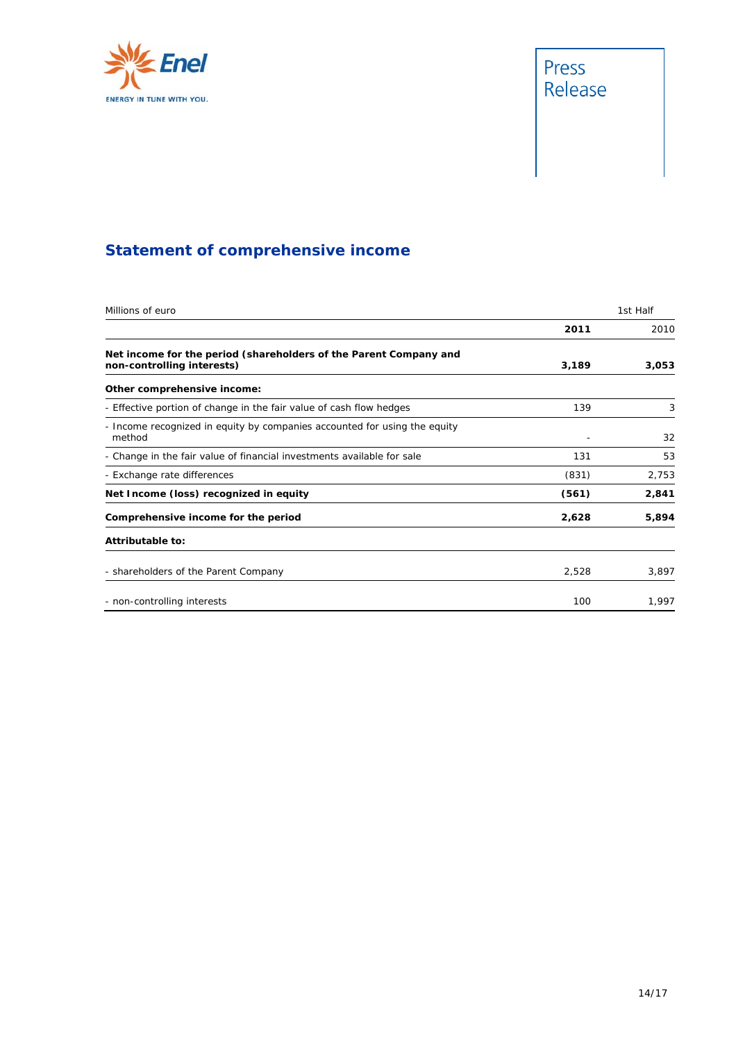



# **Statement of comprehensive income**

| Millions of euro                                                                                |                          | 1st Half |
|-------------------------------------------------------------------------------------------------|--------------------------|----------|
|                                                                                                 | 2011                     | 2010     |
| Net income for the period (shareholders of the Parent Company and<br>non-controlling interests) | 3,189                    | 3,053    |
| Other comprehensive income:                                                                     |                          |          |
| - Effective portion of change in the fair value of cash flow hedges                             | 139                      | 3        |
| - Income recognized in equity by companies accounted for using the equity<br>method             | $\overline{\phantom{m}}$ | 32       |
| - Change in the fair value of financial investments available for sale                          | 131                      | 53       |
| - Exchange rate differences                                                                     | (831)                    | 2,753    |
| Net Income (loss) recognized in equity                                                          | (561)                    | 2,841    |
| Comprehensive income for the period                                                             | 2,628                    | 5,894    |
| Attributable to:                                                                                |                          |          |
| - shareholders of the Parent Company                                                            | 2,528                    | 3,897    |
| - non-controlling interests                                                                     | 100                      | 1,997    |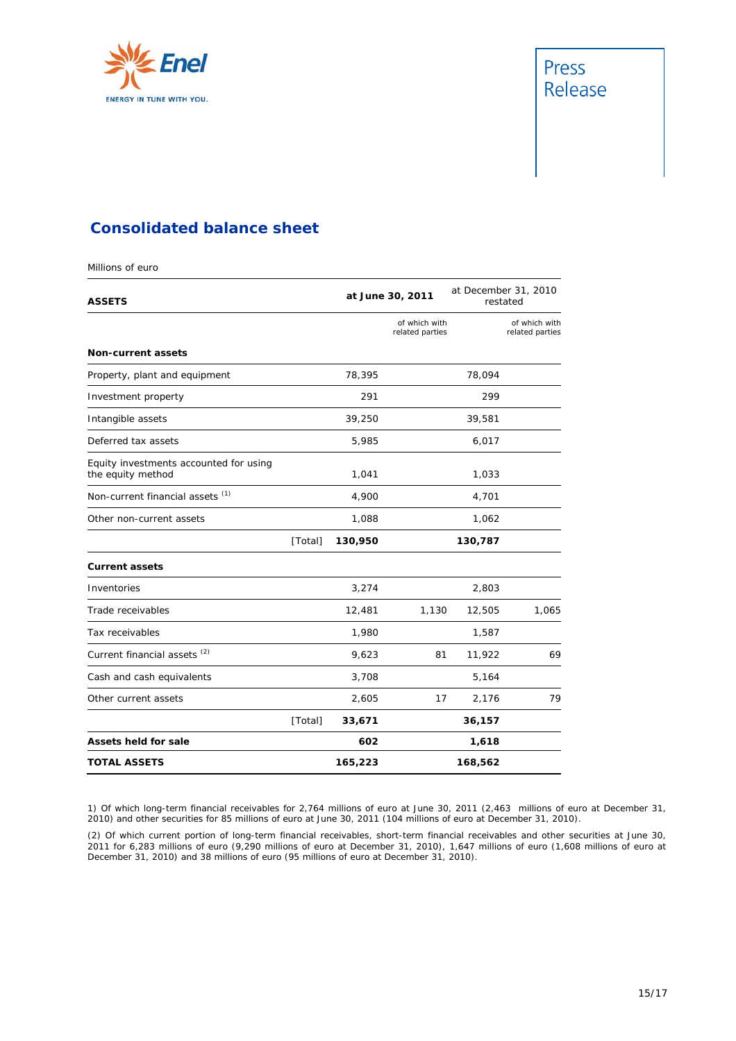

# Press Release

## **Consolidated balance sheet**

Millions of euro

| ASSETS                                                      |         |         | at June 30, 2011                 |         | at December 31, 2010<br>restated |
|-------------------------------------------------------------|---------|---------|----------------------------------|---------|----------------------------------|
|                                                             |         |         | of which with<br>related parties |         | of which with<br>related parties |
| <b>Non-current assets</b>                                   |         |         |                                  |         |                                  |
| Property, plant and equipment                               |         | 78,395  |                                  | 78,094  |                                  |
| Investment property                                         |         | 291     |                                  | 299     |                                  |
| Intangible assets                                           |         | 39,250  |                                  | 39,581  |                                  |
| Deferred tax assets                                         |         | 5,985   |                                  | 6,017   |                                  |
| Equity investments accounted for using<br>the equity method |         | 1,041   |                                  | 1,033   |                                  |
| Non-current financial assets <sup>(1)</sup>                 |         | 4,900   |                                  | 4,701   |                                  |
| Other non-current assets                                    |         | 1,088   |                                  | 1,062   |                                  |
|                                                             | [Total] | 130,950 |                                  | 130,787 |                                  |
| <b>Current assets</b>                                       |         |         |                                  |         |                                  |
| Inventories                                                 |         | 3,274   |                                  | 2,803   |                                  |
| Trade receivables                                           |         | 12,481  | 1,130                            | 12,505  | 1,065                            |
| Tax receivables                                             |         | 1,980   |                                  | 1,587   |                                  |
| Current financial assets <sup>(2)</sup>                     |         | 9,623   | 81                               | 11,922  | 69                               |
| Cash and cash equivalents                                   |         | 3,708   |                                  | 5,164   |                                  |
| Other current assets                                        |         | 2,605   | 17                               | 2,176   | 79                               |
|                                                             | [Total] | 33,671  |                                  | 36,157  |                                  |
| <b>Assets held for sale</b>                                 |         | 602     |                                  | 1,618   |                                  |
| TOTAL ASSETS                                                |         | 165,223 |                                  | 168,562 |                                  |

1) Of which long-term financial receivables for 2,764 millions of euro at June 30, 2011 (2,463 millions of euro at December 31, 2010) and other securities for 85 millions of euro at June 30, 2011 (104 millions of euro at December 31, 2010).

(2) Of which current portion of long-term financial receivables, short-term financial receivables and other securities at June 30, 2011 for 6,283 millions of euro (9,290 millions of euro at December 31, 2010), 1,647 millions of euro (1,608 millions of euro at December 31, 2010) and 38 millions of euro (95 millions of euro at December 31, 2010).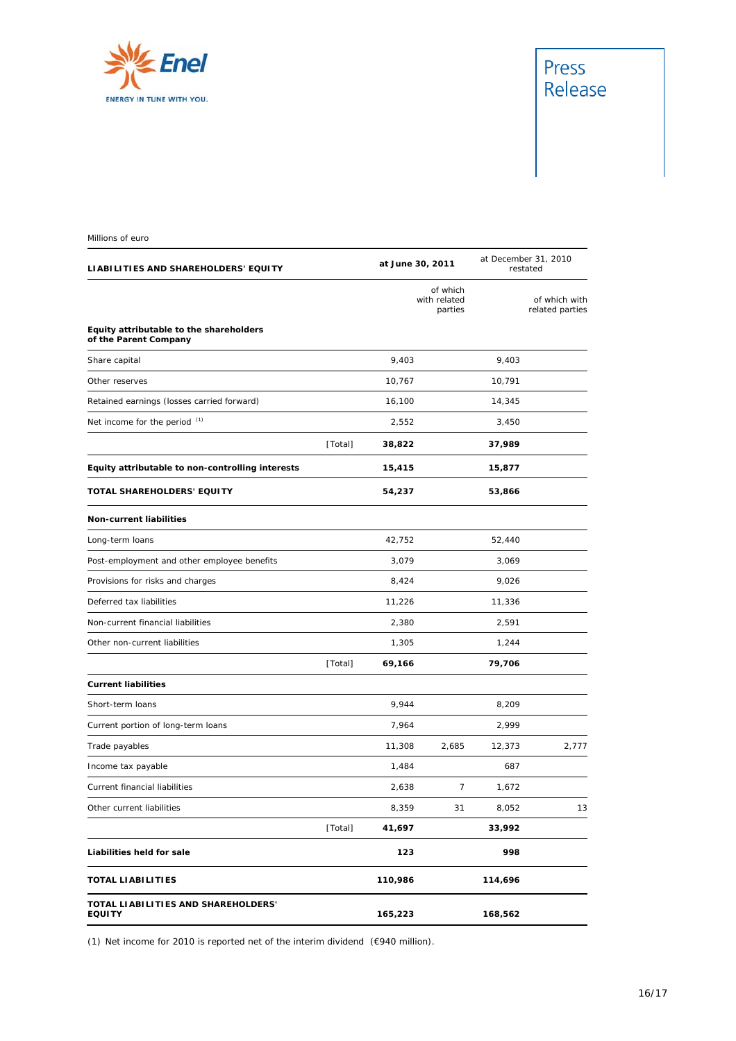

Millions of euro

| LIABILITIES AND SHAREHOLDERS' EQUITY                             |         | at June 30, 2011 |                                     |         | at December 31, 2010<br>restated |
|------------------------------------------------------------------|---------|------------------|-------------------------------------|---------|----------------------------------|
|                                                                  |         |                  | of which<br>with related<br>parties |         | of which with<br>related parties |
| Equity attributable to the shareholders<br>of the Parent Company |         |                  |                                     |         |                                  |
| Share capital                                                    |         | 9,403            |                                     | 9,403   |                                  |
| Other reserves                                                   |         | 10,767           |                                     | 10,791  |                                  |
| Retained earnings (losses carried forward)                       |         | 16,100           |                                     | 14,345  |                                  |
| Net income for the period (1)                                    |         | 2,552            |                                     | 3,450   |                                  |
|                                                                  | [Total] | 38,822           |                                     | 37,989  |                                  |
| Equity attributable to non-controlling interests                 |         | 15,415           |                                     | 15,877  |                                  |
| TOTAL SHAREHOLDERS' EQUITY                                       |         | 54,237           |                                     | 53,866  |                                  |
| <b>Non-current liabilities</b>                                   |         |                  |                                     |         |                                  |
| Long-term loans                                                  |         | 42,752           |                                     | 52,440  |                                  |
| Post-employment and other employee benefits                      |         | 3,079            |                                     | 3,069   |                                  |
| Provisions for risks and charges                                 |         | 8,424            |                                     | 9,026   |                                  |
| Deferred tax liabilities                                         |         | 11,226           |                                     | 11,336  |                                  |
| Non-current financial liabilities                                |         | 2,380            |                                     | 2,591   |                                  |
| Other non-current liabilities                                    |         | 1,305            |                                     | 1,244   |                                  |
|                                                                  | [Total] | 69,166           |                                     | 79,706  |                                  |
| <b>Current liabilities</b>                                       |         |                  |                                     |         |                                  |
| Short-term loans                                                 |         | 9,944            |                                     | 8,209   |                                  |
| Current portion of long-term loans                               |         | 7,964            |                                     | 2,999   |                                  |
| Trade payables                                                   |         | 11,308           | 2,685                               | 12,373  | 2,777                            |
| Income tax payable                                               |         | 1,484            |                                     | 687     |                                  |
| <b>Current financial liabilities</b>                             |         | 2,638            | 7                                   | 1,672   |                                  |
| Other current liabilities                                        |         | 8,359            | 31                                  | 8,052   | 13                               |
|                                                                  | [Total] | 41,697           |                                     | 33,992  |                                  |
| Liabilities held for sale                                        |         | 123              |                                     | 998     |                                  |
| <b>TOTAL LIABILITIES</b>                                         |         | 110,986          |                                     | 114,696 |                                  |
| TOTAL LIABILITIES AND SHAREHOLDERS'<br><b>EQUITY</b>             |         | 165,223          |                                     | 168,562 |                                  |

(1) Net income for 2010 is reported net of the interim dividend (€940 million).